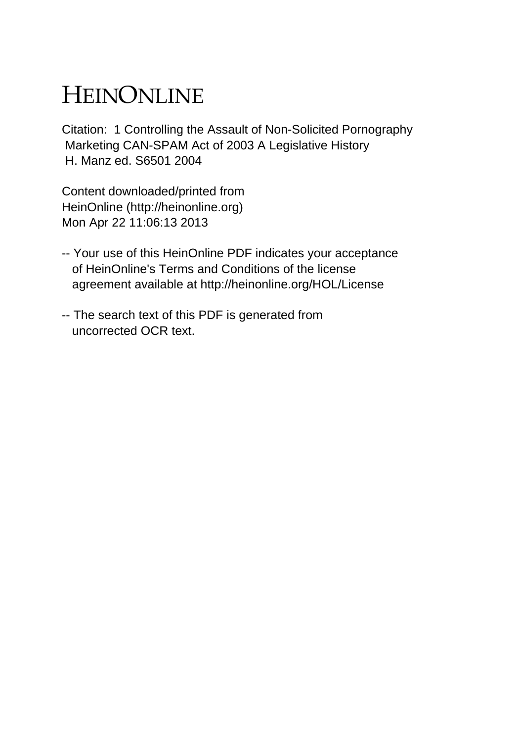# HEINONLINE

Citation: 1 Controlling the Assault of Non-Solicited Pornography Marketing CAN-SPAM Act of 2003 A Legislative History H. Manz ed. S6501 2004

Content downloaded/printed from HeinOnline (http://heinonline.org) Mon Apr 22 11:06:13 2013

- -- Your use of this HeinOnline PDF indicates your acceptance of HeinOnline's Terms and Conditions of the license agreement available at http://heinonline.org/HOL/License
- -- The search text of this PDF is generated from uncorrected OCR text.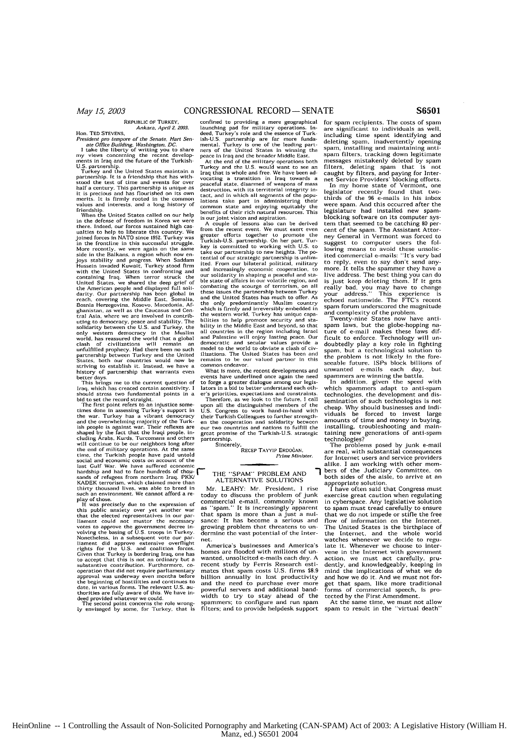#### REPUBLIC oF TURKEY, Ankara. April 2, 2003.

Hon. TED STEVENS.<br>
Hence Office Building, Washington, DC.<br>
I ate office Building, Washington, DC.<br>
I ate the liberty of writing you to share<br>
my views concerning the recent develop-<br>
ments in Iraq and the future of the Tur values and interests, and a long history of triendship. When the United States called on our help

in the defense of freedom in Korea we were there. Indeed, **our** forces sustained high cas ualties to help to liberate this country. We joined forces in NATO since 195Z. Turkey was is the fronclire in this successful struggle. More recently, we were again *on* the same side in the Balkans, a region which **now** enjoys stability and progress, When Saddam Hussein invaded Kuwait, Turkey stood firm<br>with the United States in confronting and<br>containing Iraq. When terror struck the<br>United States, we shared the deep grief of<br>the American people and displayed full soli-<br>darity. Ou uting to democracy, peace and stability. The<br>solidarly between the U.S. and Turkey, the<br>only western democracy in the Muslim<br>only western democracy in the Muslim<br>world, has reassured the world that a global<br>clash of civili

better days. This brings me to the current question of Iraq, which has created certain sensitivity. **I** should stress two fundamental points in a

bid to set the record straight.<br>The first point refers to an injustice sometimes done in assessing Turkey's support ins the war. Turkey has a vibrant democracy and the overwhelming majority of the Turkish people is against war. Their reflexes are shaped by the fact that the Iraqi people. including Arabs. Kurds, Turcomans and others<br>will continue to be our neighbors long after the end of military operations. At the same<br>time, the calculation of the same<br>social and economic costs on account of the<br>last Gulf War. We have suffred economic<br>hardship and had to face hundreds of hou-<br>hardship and had t

play of chose. It was precisely due to the expressin of this public anxiety over yet another war that the elected representatives in our parliament could not muster the necessary votes to approve the government decree in-volving the basing of **U.S.** troops in Turkey. Nonetheless, in a subsequent vote our par-<br>liament did approve extensive overflight<br>rights for the U.S. and coalition forces.<br>Given that Turkey is bordering Iraq, one has<br>to accept that this is not an ordinary but a<br>substa operation that did not require parliamentary approval was underway even months before the beginning of hostilities and continues to date, in various forms. The relevant U.S. au-thorities are fully aware of this. We have in-deed provided whatever we could. The second point concerns the role wrong-ly envisaged by some, for Turkey, that is

confined to providing a mere geographical<br>canceling pad for military operations. Indeed, Turkey's role and the essence of Turk-<br>ish-U.S. partnership are far more funda-<br>mental. Turkey is one of the leading part-<br>ners of th

Iraq that is whole and free. We have been ad-vocating a transition In Iraq towards a peaceful state, disarmed of weapons of mass destruction, with its territorial integrity in-<br>tact, and in which all segments of the populations take part in administering their<br>common state and enjoying equitably the<br>benefits of their rich natural resources. This<br>is

A couple of lessons also can be derived<br>from the recent event. We must exert even<br>greater efforts together to promote the<br>Turkish-U.S. partnership. On her part, Tur-<br>key is committed to working with U.S. to<br>take our partne ited. From our bilateral political, military and increasingly economic cooperation, to our solidarity in shaping a peaceful and sta-ble state of affairs in our volatile region, and combating the scourge of terrorism, on all<br>these issues the partnership between Turkey<br>and the United States has much to offer. As<br>the only predominantly Muslim country<br>which is firmly and irreversibly embedded in<br>the west bilities to help promote security and sta-bility in the Middle East and beyond, so that all countries in the region including Israel and Palestine will enjoy lasting peace. Our democratic and secular values provide a<br>model to the world to obviate a clash of civ-<br>ilizations. The United States has been and remains to be our valued partner in this common endeavor.

What Is more, the recent developments and events have underlined once again the need to forge a greater dialogue among our legis-lators in a bid to better understand each oth-er's priorities. espectations and constraints.

Therefore, as we look to the future, I call upon all the distinguished members of the **U.S.** Congress to work hand-in-hand with their Turkish Colleagues to further strengthen the cooperation and solidarity between our two countries **and** nations to fulfill the great promise of the Turkish-U.S. strategic partnership.

Sincerely, RECEP TAYYIP **ERDOGAN.** *Pirie Misister*

### THE "SPAM" PROBLEM AND  $\overline{\phantom{a}}$  ALTERNATIVE SOLUTIONS

Mr. LEAHY: Mr. President, I rise today to discuss the problem of junk commercial e-mail, commonly known as "spam." It Is Increasingly apparent that spam is more than a just a nuisance: It has become a serious and growing problem that threatens to undermine the vast potential of the Internet.

America's businesses and America's homes are flooded with millions of un wanted, unsolicited e-mails each day. A recent study by Ferris Research estimates that spam costs U.S. firms \$8.9<br>billion annually in lost productivity and the need to purchase ever more powerful servers and additional band-width to try to stay ahead of the spammers; to configure and run spam filters; and to provide helpdesk support

for spam recipients. The costs of spam<br>are significant to individuals as well. significant to individuals as well, including time spent identifying and<br>deleting spam, inadvertently opening<br>spam, installing and maintaining antispare filters, tracking down legitimate messages mistakenly deleted by spam filters, deleting spam that is not caught by filters, and paying for Inter-<br>net Service Providers' blocking efforts.<br>In my home state of Vermont, one

legislator recently found that two-thirds of the **96** e-nails in his inbox were spam. And this occurred after the<br>legislature had installed new spamblocking software on its computer system that seemed to be catching **80** percent of the spam. The Assistant Attor-<br>ney General in Vermont was forced to suggest to computer users the fol-lowing means to avoid these unsolic-ited commercial e-mails: "It's very bad to reply, even to say don't send anymore. It tells the spammer they have a live address. The best thing you can do really bad, you may have to change<br>your address." This experience is<br>echoed nationwide. The FTC's recent<br>spar forum underscored the magnitude<br>spar forum underscored the magnitude

and complexity of the problem. Twenty-nine States now have anti-sparm laws, but the globe-hopping nature of e-mail makes these laws **dif**ficult to enforce. Technology will tn-doubtedly play a key role In fighting spam, but a technological solution to<br>the problem is not likely in the fore-<br>seeable future. ISPs block billions of seeable future. ISPs block billions of<br>unwanted e-mails each day, but<br>spammers are winning the battle.

spammers are winning the battle. In addition, given the speed with which spammers adapt to anti-sparn technologies, the development and dissemination of such technologies is not cheap. Why should businesses and Indi-viduals he forced to invest large amounts of time and money in buying, installing, troubleshooting and main-taining new generations of anti-spam technologies?

The problems posed by junk e-mail are real, with substantial consequences for Internet users and service providers alike. I am working with other members of the Judiciary Committee, on<br>both sides of the aisle, to arrive at an

both sides of the aisle, to arrive at an appropriate solution, I have often said that Congress must exercise great caution when regulating in cyberspace. Any legislative solution to span must tread carefully to ensure that we do not impede or stifle the free flow of information on the Internet. The United States is the birthplace of the Internet. and the whole world watches whenever we decide to regu-<br>late it. Whenever we choose to intervene in the Internet with government action, we must act carefully, prudently, and knowledgeably, keeping in mind the implications of what we do and how we do it, And we must not forget that spam, like more traditional forms of commercial speech, is protected by the First Amendment. At the same time, we must not allow

spam to result in the "virtual death"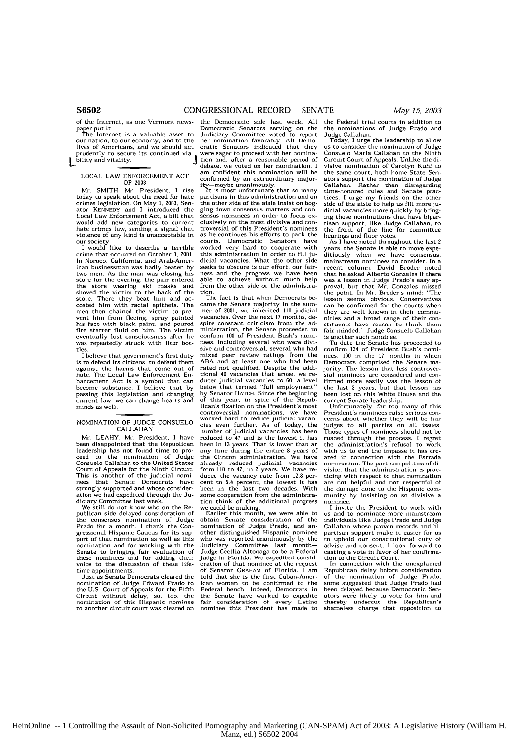of the Internet, as one Vermont news-

paper put it.<br>The Internet is a valuable asset to our nation, to our economy, and to the lives of Americans, and we should use<br>prudently to secure its continued via-<br>diagnosis bility and vitality.

#### LOCAL LAW ENFORCEMENT ACT OF 2003

Mr. SMITH. Mr. President, I rise today to speak about the need for hate<br>crimes legislation. On May 1, 2003, Senator KENNEDY and I introduced the Local Law Enforcement Act, a bill that would add new categories to current hate crimes law, sending a signal that violence of any kind is unacceptable in

our society. I would like to describe a terrible crime that occurred on October **3, 2001.** In Noroco. California, and Arab-American businessman was badly beaten by two men. As the man was closing his<br>store for the evening, the pair entered store for the evening, the pair entered<br>the store wearing ski masks and<br>shoved the victim to the back of the shoved the victim to the back of the<br>store. There they beat him and ac-<br>costed him with racial epithets. The costed him with racial epithets. The men then chained the victim to prevent him from fleeing, spray painted his face with black paint, and poured fire starter fluid on him. The victim eventually lost consciousness after he was repeatedly struck with liter bottles.

I believe that government's first duty is to defend its citizens, to defend them<br>against the harms that come out of against the harms that come out of hate. The Local Law Enforcement En- hancement Act is a symbol that can become substance. I believe that by passing this legislation and changing current law, we can change hearts and minds as well.

### NOMINATION OF JUDGE CONSUELO CALLAHAN

Mr. LEAHY. Mr. President, I have been disappointed that the Republican leadership has not found time to pro-<br>ceed to the nomination of Judge Consuelo Callahan to the United States Court of Appeals for the Ninth Circuit. This is another of the judicial nomi-<br>nees that Senate Democrats have<br>strongly supported and whose consideration we had expedited through the Judiciary Committee last week,

We still do not know who **on** the Republican side delayed consideration of<br>the consensus nomination of Judge the consensus nomination of Judge Prado for a month. **I** thank the Con-gressional Hispanic Caucus for its support of that nomination as well as this nomination and for working with the Senate to bringing fair evaluation of these nominees and for adding their voice to the discussion of these lifetime appointments.

Just as Senate Democrats cleared the nomination of Judge Edward Prado to<br>the U.S. Court of Appeals for the Fifth **U.S. Little Circuit without delay, so, too. the nomination of this Hispanic nominee** to another circuit court was cleared on the Democratic side last week. All Democratic Senators serving on the Judiciary Committee voted to report her nomination favorably. **All** Demo-cratic Senators indicated that they were eager to proceed with her nomination and, after a reasonable period of debate, we voted on her nomination. I am confident this nomination will be confirmed by an extraordinary major-

committed by an extraordinary major-<br>ity-maybe unanimously.<br>It is most unfortunate that so many partisans in this administration and on the other side of the aisle insist on bogging down consensus matters and consensus nominees in order to focus exclusively **on** the most divisive and con-troversial of this President's nominees as he continues his efforts to pack the courts. Democratic Senators have<br>worked very hard to cooperate with worked very hard to cooperate this administration **in** order to fill ju-dicial vacancies. What the other side seeks to obscure is our effort, our fairness and the progress we have been able to achieve without much help from the other side or the administra- tion.

The fact is that when Democrats became the Senate majority in the sum-mer of **2001,** we inherited **110** judicial vacancies. Over the next **17** months, despite constant criticism from the administration, the Senate proceeded to confirm **100** of President Bush's nominees, including several who were divisive and controversial, several who had mixed peer review ratings from the ABA and at least one who had been rated not qualified. Despite the addi-tional 40 vacancies that arose, we **re**duced judicial vacancies to 60, a level below that termed "full employment" **by** Senator **HATCH.** Since the beginning of this year, in spite of the Republican's fixation on the President's most controversial nominations, we have worked hard to reduce judicial vacan-cies even further. As of today, the number of judicial vacancies has been reduced to 47 and is the lowest it has been in 13 years. That is lower than at any time during the entire 8 years of the Clinton administration. We have already reduced judicial vacancies from **110** to 47. in 2 years. We have reduced the vacancy rate from 12.8 percent to 5.4 percent, the lowest it has been in the last two decades. With some cooperation from the administration think of the additional progress

we could be making. Earlier this month, we were able to obtain Senate consideration of the nomination of Judge Prado, and an-other distinguished Hispanic nominee who was reported unanimously by the Judiciary Committee last month-Judge Cecilia Altonaga to be a Federal judge in Florida, We expedited consideration of that nominee at the request of Senator GRAHAM of Florida. I am told that she is the first Cuban-American woman to be confirmed to the Federal bench. Indeed, Democrats in the Senate have worked to expedite fair consideration of every Latino nominee this President has made to

the Federal trial courts in addition to the nominations of Judge Prado and Judge Callahan,

Today. I urge the leadership to allow<br>us to consider the nomination of Judge us to consider the nomination of Judge Consuelo Maria Callahan to the Ninth Circuit Court of Appeals. Unlike the di-visive nomination of Carolyn Kuhl to the same court, both home-State Senators support the nomination of Judge Callahan. Rather than disregarding time-honored rules and Senate practices, I urge my friends on the other<br>side of the aisle to help us fill more juside of the aisle to help us fill more ju- dicial vacancies more quickly by bringing those nominations that have bipartisan support, like Judge Callahan, to the front of the line for committee<br>hearings and floor votes.

As I have noted throughout the last 2 years, the Senate is able to move expeditiously when we have consensus. mainstream nominees to consider. In a recent column, David Broder noted<br>that he asked Alberto Gonzales if there<br>that he asked Alberto Gonzales if there was a lesson in Judge Prado's easy ap-<br>proval, but that Mr. Gonzales missed<br>the point. In Mr. Broder's mind: ''The lesson seems obvious. Conservatives<br>can be confirmed for the courts when they are well known in their commu-<br>nities and a broad range of their constituents have reason to think them fair-minded." Judge Consuelo Callahan is another such nominee.

To date the Senate has proceeded to confirm 124 of President Bush's nominees, **100** in the 17 months in which Democrats comprised the Senate ma- jority. The lesson that less controversial nominees are considered and confirmed more easily was the lesson of the last 2 years, but that lesson has been lost on this White House and the

current Senate leadership. Unfortunately, far too many of this President's nominees raise serious concerns about whether they will be fair judges to all parties on all issues, Those types of nominees should not be rushed through the process. I regret the administration's refusal to work with us to end the impasse it has created in connection with the Estrada nomination. The partisan politics **of** division that the administration is practicing with respect to that nomination are not helpful and not respectful of the damage done to the Hispanic com- munity by insisting on so divisive a nominee.

invite the President to work with us and to nominate more mainstream individuals like Judge Prado and Judge Callahan whose proven records and bi-<br>partisan support make it easier for us to uphold our constitutional duty of advise and consent. **I** look forward to casting a vote in favor of her confirma-

tion to the Circuit Court. In connection with the unexplained Republican delay before consideration of the nomination of Judge Prado, some suggested that Judge Prado had been delayed because Democratic Senators were likely to vote for him and thereby undercut the Republican's shameless charge that opposition to